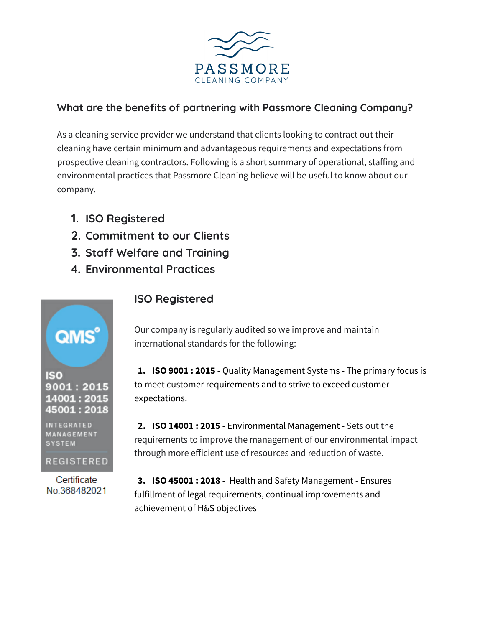

### **What are the benefits of partnering with Passmore Cleaning Company?**

As a cleaning service provider we understand that clients looking to contract out their cleaning have certain minimum and advantageous requirements and expectations from prospective cleaning contractors. Following is a short summary of operational, staffing and environmental practices that Passmore Cleaning believe will be useful to know about our company.

- **1. ISO Registered**
- **2. Commitment to our Clients**
- **3. Staff Welfare and Training**
- **4. Environmental Practices**

IS<sub>0</sub> 9001 : 2015 14001:2015 45001 : 2018

**INTEGRATED** MANAGEMENT **SYSTEM** 

REGISTERED

Certificate No:368482021

## **ISO Registered**

Our company is regularly audited so we improve and maintain international standards for the following:

**1. ISO 9001 : 2015 -** Quality Management Systems - The primary focus is to meet customer requirements and to strive to exceed customer expectations.

**2. ISO 14001 : 2015 -** Environmental Management - Sets out the requirements to improve the management of our environmental impact through more efficient use of resources and reduction of waste.

**3. ISO 45001 : 2018 -** Health and Safety Management - Ensures fulfillment of legal requirements, continual improvements and achievement of H&S objectives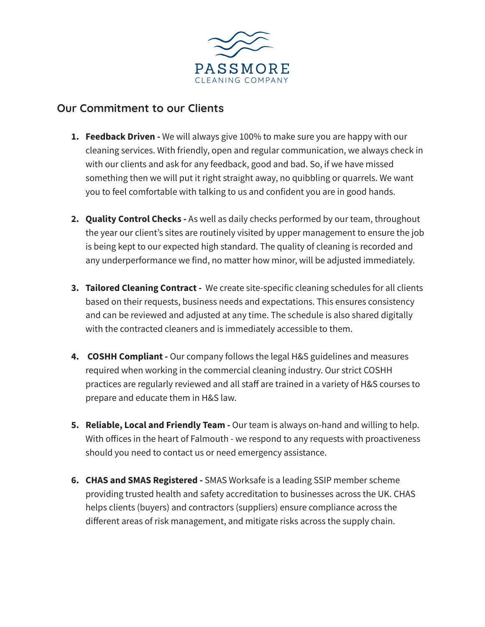

#### **Our Commitment to our Clients**

- **1. Feedback Driven -** We will always give 100% to make sure you are happy with our cleaning services. With friendly, open and regular communication, we always check in with our clients and ask for any feedback, good and bad. So, if we have missed something then we will put it right straight away, no quibbling or quarrels. We want you to feel comfortable with talking to us and confident you are in good hands.
- **2. Quality Control Checks -** As well as daily checks performed by our team, throughout the year our client's sites are routinely visited by upper management to ensure the job is being kept to our expected high standard. The quality of cleaning is recorded and any underperformance we find, no matter how minor, will be adjusted immediately.
- **3. Tailored Cleaning Contract -** We create site-specific cleaning schedules for all clients based on their requests, business needs and expectations. This ensures consistency and can be reviewed and adjusted at any time. The schedule is also shared digitally with the contracted cleaners and is immediately accessible to them.
- **4. COSHH Compliant -** Our company follows the legal H&S guidelines and measures required when working in the commercial cleaning industry. Our strict COSHH practices are regularly reviewed and all staff are trained in a variety of H&S courses to prepare and educate them in H&S law.
- **5. Reliable, Local and Friendly Team -** Our team is always on-hand and willing to help. With offices in the heart of Falmouth - we respond to any requests with proactiveness should you need to contact us or need emergency assistance.
- **6. CHAS and SMAS Registered -** SMAS Worksafe is a leading SSIP member scheme providing trusted health and safety accreditation to businesses across the UK. CHAS helps clients (buyers) and contractors (suppliers) ensure compliance across the different areas of risk management, and mitigate risks across the supply chain.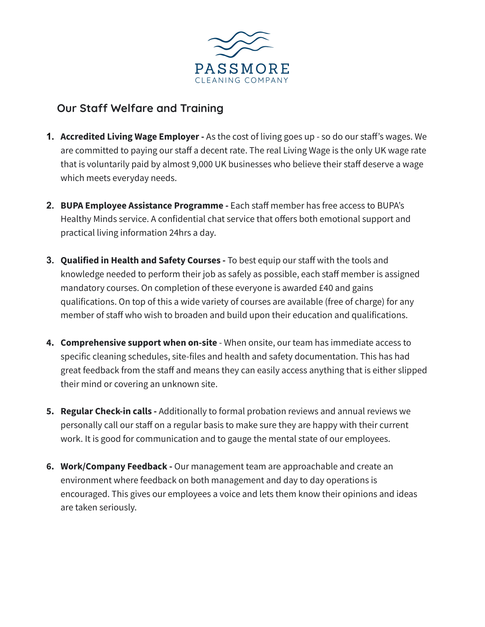

# **Our Staff Welfare and Training**

- **1. Accredited Living Wage Employer -** As the cost of living goes up so do our staff's wages. We are committed to paying our staff a decent rate. The real Living Wage is the only UK wage rate that is voluntarily paid by almost 9,000 UK businesses who believe their staff deserve a wage which meets everyday needs.
- **2. BUPA Employee Assistance Programme -** Each staff member has free access to BUPA's Healthy Minds service. A confidential chat service that offers both emotional support and practical living information 24hrs a day.
- **3. Qualified in Health and Safety Courses -** To best equip our staff with the tools and knowledge needed to perform their job as safely as possible, each staff member is assigned mandatory courses. On completion of these everyone is awarded £40 and gains qualifications. On top of this a wide variety of courses are available (free of charge) for any member of staff who wish to broaden and build upon their education and qualifications.
- **4. Comprehensive support when on-site** When onsite, our team has immediate access to specific cleaning schedules, site-files and health and safety documentation. This has had great feedback from the staff and means they can easily access anything that is either slipped their mind or covering an unknown site.
- **5. Regular Check-in calls -** Additionally to formal probation reviews and annual reviews we personally call our staff on a regular basis to make sure they are happy with their current work. It is good for communication and to gauge the mental state of our employees.
- **6. Work/Company Feedback -** Our management team are approachable and create an environment where feedback on both management and day to day operations is encouraged. This gives our employees a voice and lets them know their opinions and ideas are taken seriously.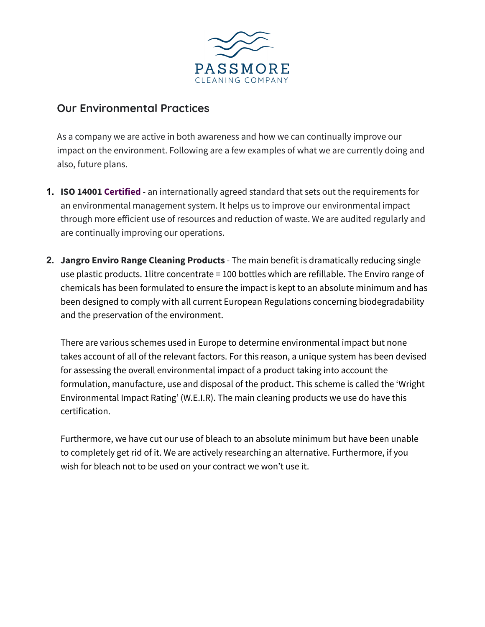

### **Our Environmental Practices**

As a company we are active in both awareness and how we can continually improve our impact on the environment. Following are a few examples of what we are currently doing and also, future plans.

- **1. ISO 14001 Certified** an internationally agreed standard that sets out the requirements for an environmental management system. It helps us to improve our environmental impact through more efficient use of resources and reduction of waste. We are audited regularly and are continually improving our operations.
- **2. Jangro Enviro Range Cleaning Products** The main benefit is dramatically reducing single use plastic products. 1litre concentrate = 100 bottles which are refillable. The Enviro range of chemicals has been formulated to ensure the impact is kept to an absolute minimum and has been designed to comply with all current European Regulations concerning biodegradability and the preservation of the environment.

There are various schemes used in Europe to determine environmental impact but none takes account of all of the relevant factors. For this reason, a unique system has been devised for assessing the overall environmental impact of a product taking into account the formulation, manufacture, use and disposal of the product. This scheme is called the 'Wright Environmental Impact Rating' (W.E.I.R). The main cleaning products we use do have this certification.

Furthermore, we have cut our use of bleach to an absolute minimum but have been unable to completely get rid of it. We are actively researching an alternative. Furthermore, if you wish for bleach not to be used on your contract we won't use it.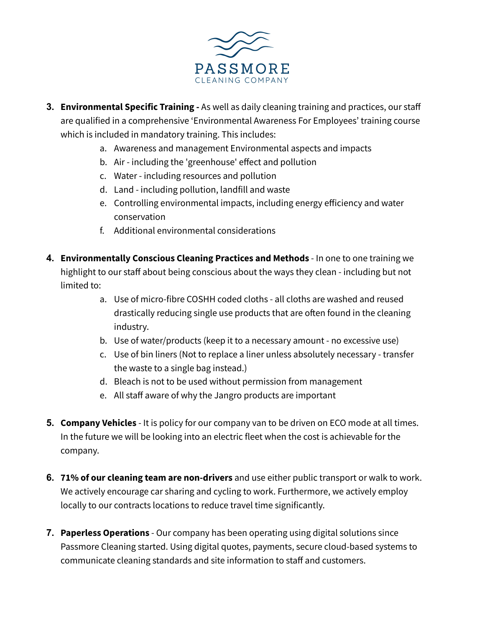

- **3. Environmental Specific Training -** As well as daily cleaning training and practices, our staff are qualified in a comprehensive 'Environmental Awareness For Employees' training course which is included in mandatory training. This includes:
	- a. Awareness and management Environmental aspects and impacts
	- b. Air including the 'greenhouse' effect and pollution
	- c. Water including resources and pollution
	- d. Land including pollution, landfill and waste
	- e. Controlling environmental impacts, including energy efficiency and water conservation
	- f. Additional environmental considerations
- **4. Environmentally Conscious Cleaning Practices and Methods** In one to one training we highlight to our staff about being conscious about the ways they clean - including but not limited to:
	- a. Use of micro-fibre COSHH coded cloths all cloths are washed and reused drastically reducing single use products that are often found in the cleaning industry.
	- b. Use of water/products (keep it to a necessary amount no excessive use)
	- c. Use of bin liners (Not to replace a liner unless absolutely necessary transfer the waste to a single bag instead.)
	- d. Bleach is not to be used without permission from management
	- e. All staff aware of why the Jangro products are important
- **5. Company Vehicles** It is policy for our company van to be driven on ECO mode at all times. In the future we will be looking into an electric fleet when the cost is achievable for the company.
- **6. 71% of our cleaning team are non-drivers** and use either public transport or walk to work. We actively encourage car sharing and cycling to work. Furthermore, we actively employ locally to our contracts locations to reduce travel time significantly.
- **7. Paperless Operations** Our company has been operating using digital solutions since Passmore Cleaning started. Using digital quotes, payments, secure cloud-based systems to communicate cleaning standards and site information to staff and customers.